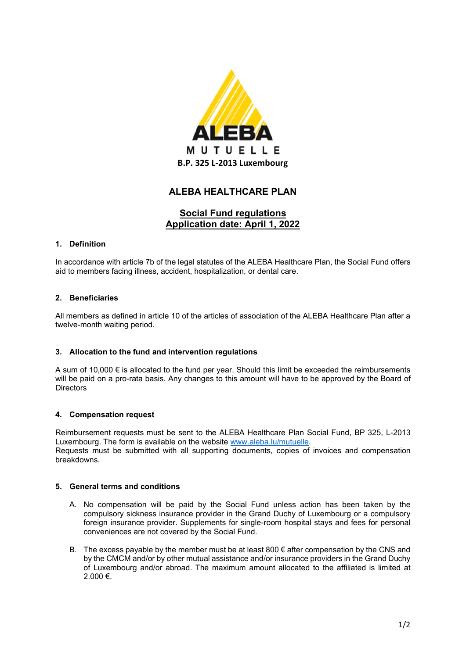

# **ALEBA HEALTHCARE PLAN**

# **Social Fund regulations Application date: April 1, 2022**

## **1. Definition**

In accordance with article 7b of the legal statutes of the ALEBA Healthcare Plan, the Social Fund offers aid to members facing illness, accident, hospitalization, or dental care.

## **2. Beneficiaries**

All members as defined in article 10 of the articles of association of the ALEBA Healthcare Plan after a twelve-month waiting period.

#### **3. Allocation to the fund and intervention regulations**

A sum of 10,000 € is allocated to the fund per year. Should this limit be exceeded the reimbursements will be paid on a pro-rata basis. Any changes to this amount will have to be approved by the Board of **Directors** 

#### **4. Compensation request**

Reimbursement requests must be sent to the ALEBA Healthcare Plan Social Fund, BP 325, L-2013 Luxembourg. The form is available on the website [www.aleba.lu/mutuelle.](http://www.aleba.lu/mutuelle)

Requests must be submitted with all supporting documents, copies of invoices and compensation breakdowns.

#### **5. General terms and conditions**

- A. No compensation will be paid by the Social Fund unless action has been taken by the compulsory sickness insurance provider in the Grand Duchy of Luxembourg or a compulsory foreign insurance provider. Supplements for single-room hospital stays and fees for personal conveniences are not covered by the Social Fund.
- B. The excess payable by the member must be at least 800  $\epsilon$  after compensation by the CNS and by the CMCM and/or by other mutual assistance and/or insurance providers in the Grand Duchy of Luxembourg and/or abroad. The maximum amount allocated to the affiliated is limited at 2.000 €.